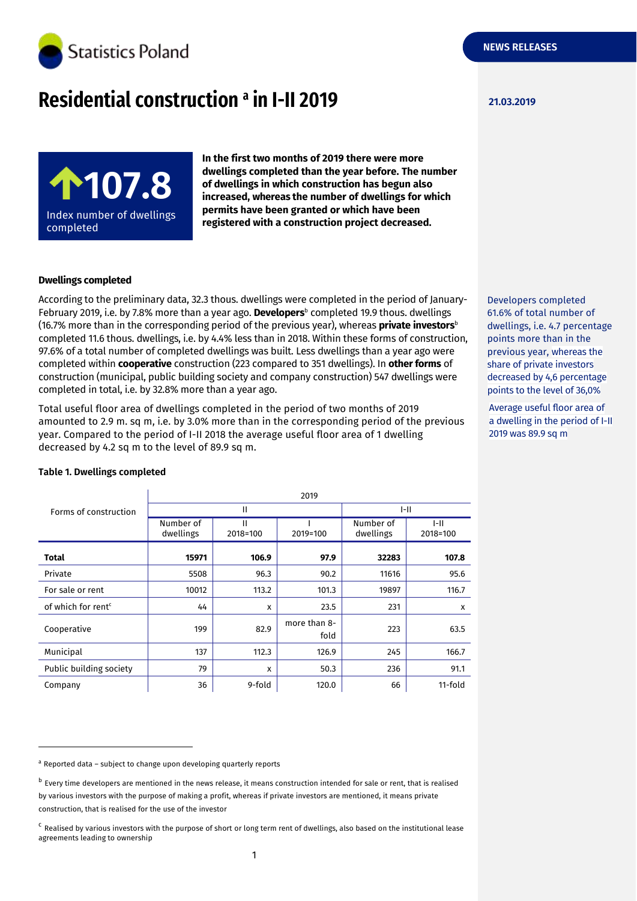

# **Residential construction 21.03.2019 <sup>a</sup> in I-II 2019**



**In the first two months of 2019 there were more dwellings completed than the year before. The number of dwellings in which construction has begun also increased, whereas the number of dwellings for which permits have been granted or which have been registered with a construction project decreased.**

# **Dwellings completed**

According to the preliminary data, 32.3 thous. dwellings were completed in the period of January-February 2019, i.e. by 7.8% more than a year ago. **Developers**<sup>b</sup> completed 19.9 thous. dwellings (16.7% more than in the corresponding period of the previous year), whereas **private investors**<sup>b</sup> completed 11.6 thous. dwellings, i.e. by 4.4% less than in 2018. Within these forms of construction, 97.6% of a total number of completed dwellings was built. Less dwellings than a year ago were completed within **cooperative** construction (223 compared to 351 dwellings). In **other forms** of construction (municipal, public building society and company construction) 547 dwellings were completed in total, i.e. by 32.8% more than a year ago.

Total useful floor area of dwellings completed in the period of two months of 2019 amounted to 2.9 m. sq m, i.e. by 3.0% more than in the corresponding period of the previous year. Compared to the period of I-II 2018 the average useful floor area of 1 dwelling decreased by 4.2 sq m to the level of 89.9 sq m.

|                                | 2019                   |               |                      |                        |                           |  |
|--------------------------------|------------------------|---------------|----------------------|------------------------|---------------------------|--|
| Forms of construction          | Ш                      |               |                      | $I-II$                 |                           |  |
|                                | Number of<br>dwellings | Ш<br>2018=100 | 2019=100             | Number of<br>dwellings | $I-II$<br>2018=100        |  |
| <b>Total</b>                   | 15971                  | 106.9         | 97.9                 | 32283                  | 107.8                     |  |
| Private                        | 5508                   | 96.3          | 90.2                 | 11616                  | 95.6                      |  |
| For sale or rent               | 10012                  | 113.2         | 101.3                | 19897                  | 116.7                     |  |
| of which for rent <sup>c</sup> | 44                     | X             | 23.5                 | 231                    | $\boldsymbol{\mathsf{x}}$ |  |
| Cooperative                    | 199                    | 82.9          | more than 8-<br>fold | 223                    | 63.5                      |  |
| Municipal                      | 137                    | 112.3         | 126.9                | 245                    | 166.7                     |  |
| Public building society        | 79                     | X             | 50.3                 | 236                    | 91.1                      |  |
| Company                        | 36                     | 9-fold        | 120.0                | 66                     | 11-fold                   |  |

### **Table 1. Dwellings completed**

-

a Reported data - subject to change upon developing quarterly reports

Developers completed 61.6% of total number of dwellings, i.e. 4.7 percentage points more than in the previous year, whereas the share of private investors decreased by 4,6 percentage points to the level of 36,0%

Average useful floor area of a dwelling in the period of I-II 2019 was 89.9 sq m

<sup>&</sup>lt;sup>b</sup> Every time developers are mentioned in the news release, it means construction intended for sale or rent, that is realised by various investors with the purpose of making a profit, whereas if private investors are mentioned, it means private construction, that is realised for the use of the investor

<sup>&</sup>lt;sup>c</sup> Realised by various investors with the purpose of short or long term rent of dwellings, also based on the institutional lease agreements leading to ownership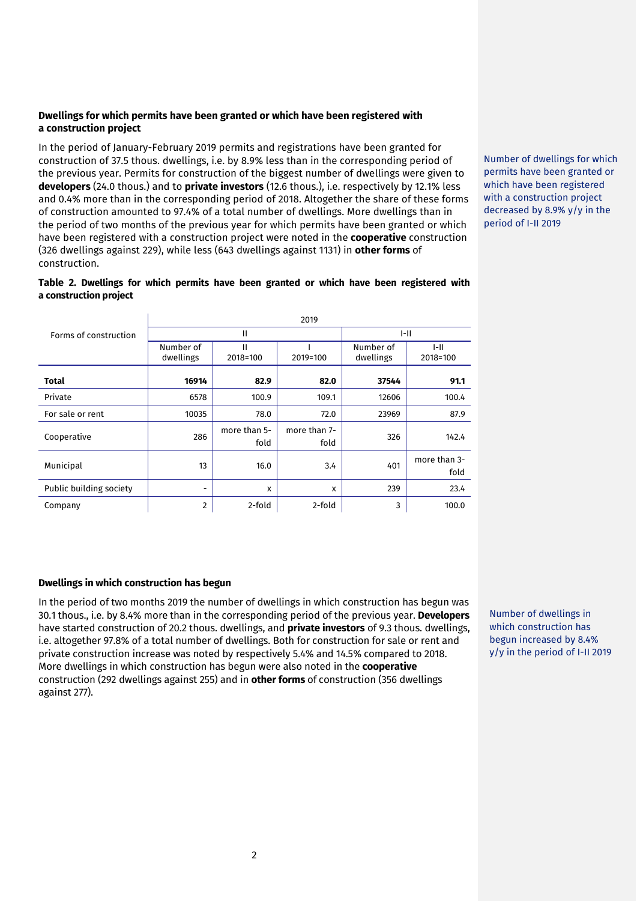# **Dwellings for which permits have been granted or which have been registered with a construction project**

In the period of January-February 2019 permits and registrations have been granted for construction of 37.5 thous. dwellings, i.e. by 8.9% less than in the corresponding period of the previous year. Permits for construction of the biggest number of dwellings were given to **developers** (24.0 thous.) and to **private investors** (12.6 thous.), i.e. respectively by 12.1% less and 0.4% more than in the corresponding period of 2018. Altogether the share of these forms of construction amounted to 97.4% of a total number of dwellings. More dwellings than in the period of two months of the previous year for which permits have been granted or which have been registered with a construction project were noted in the **cooperative** construction (326 dwellings against 229), while less (643 dwellings against 1131) in **other forms** of construction.

Number of dwellings for which permits have been granted or which have been registered with a construction project decreased by 8.9% y/y in the period of I-II 2019

**Table 2. Dwellings for which permits have been granted or which have been registered with a construction project**

| Forms of construction   | 2019                   |                      |                      |                        |                      |  |
|-------------------------|------------------------|----------------------|----------------------|------------------------|----------------------|--|
|                         | Ш                      |                      |                      | $ -   $                |                      |  |
|                         | Number of<br>dwellings | Ш<br>2018=100        | 2019=100             | Number of<br>dwellings | I-II<br>2018=100     |  |
| Total                   | 16914                  | 82.9                 | 82.0                 | 37544                  | 91.1                 |  |
| Private                 | 6578                   | 100.9                | 109.1                | 12606                  | 100.4                |  |
| For sale or rent        | 10035                  | 78.0                 | 72.0                 | 23969                  | 87.9                 |  |
| Cooperative             | 286                    | more than 5-<br>fold | more than 7-<br>fold | 326                    | 142.4                |  |
| Municipal               | 13                     | 16.0                 | 3.4                  | 401                    | more than 3-<br>fold |  |
| Public building society | ۰                      | x                    | X                    | 239                    | 23.4                 |  |
| Company                 | $\overline{2}$         | 2-fold               | 2-fold               | 3                      | 100.0                |  |

# **Dwellings in which construction has begun**

In the period of two months 2019 the number of dwellings in which construction has begun was 30.1 thous., i.e. by 8.4% more than in the corresponding period of the previous year. **Developers** have started construction of 20.2 thous. dwellings, and **private investors** of 9.3 thous. dwellings, i.e. altogether 97.8% of a total number of dwellings. Both for construction for sale or rent and private construction increase was noted by respectively 5.4% and 14.5% compared to 2018. More dwellings in which construction has begun were also noted in the **cooperative**  construction (292 dwellings against 255) and in **other forms** of construction (356 dwellings against 277).

Number of dwellings in which construction has begun increased by 8.4% y/y in the period of I-II 2019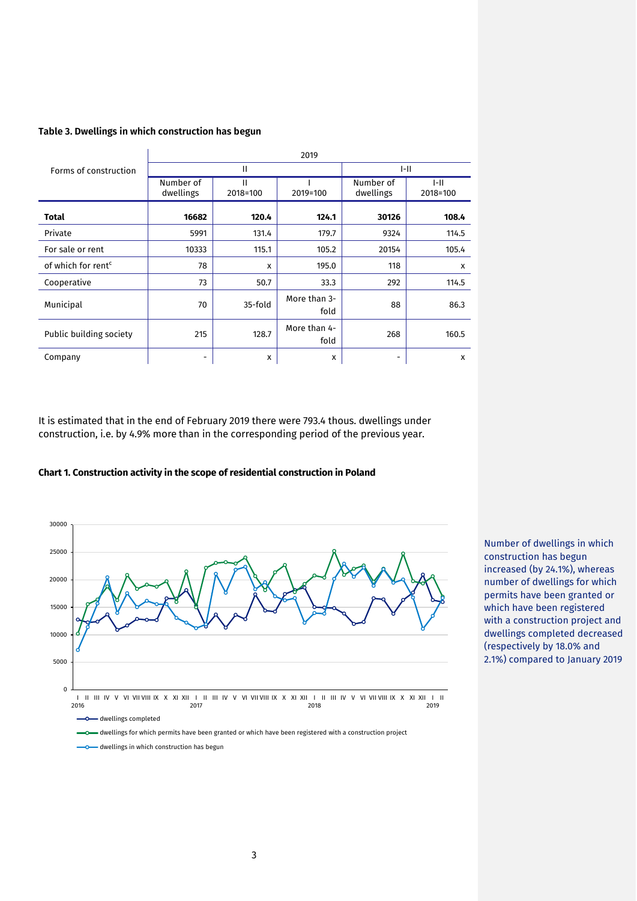# **Table 3. Dwellings in which construction has begun**

|                                | 2019                   |               |                      |                        |                    |  |
|--------------------------------|------------------------|---------------|----------------------|------------------------|--------------------|--|
| Forms of construction          | Ш                      |               |                      | $ -   $                |                    |  |
|                                | Number of<br>dwellings | Ш<br>2018=100 | 2019=100             | Number of<br>dwellings | $I-II$<br>2018=100 |  |
| <b>Total</b>                   | 16682                  | 120.4         | 124.1                | 30126                  | 108.4              |  |
| Private                        | 5991                   | 131.4         | 179.7                | 9324                   | 114.5              |  |
| For sale or rent               | 10333                  | 115.1         | 105.2                | 20154                  | 105.4              |  |
| of which for rent <sup>c</sup> | 78                     | x             | 195.0                | 118                    | x                  |  |
| Cooperative                    | 73                     | 50.7          | 33.3                 | 292                    | 114.5              |  |
| Municipal                      | 70                     | 35-fold       | More than 3-<br>fold | 88                     | 86.3               |  |
| Public building society        | 215                    | 128.7         | More than 4-<br>fold | 268                    | 160.5              |  |
| Company                        |                        | x             | X                    | -                      | X                  |  |

It is estimated that in the end of February 2019 there were 793.4 thous. dwellings under construction, i.e. by 4.9% more than in the corresponding period of the previous year.





Number of dwellings in which construction has begun increased (by 24.1%), whereas number of dwellings for which permits have been granted or which have been registered with a construction project and dwellings completed decreased (respectively by 18.0% and 2.1%) compared to January 2019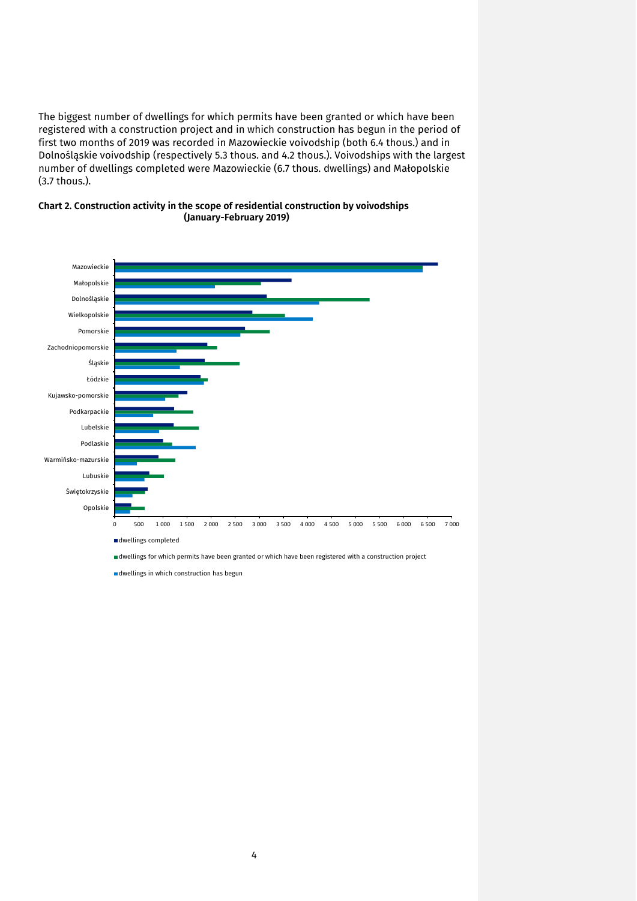The biggest number of dwellings for which permits have been granted or which have been registered with a construction project and in which construction has begun in the period of first two months of 2019 was recorded in Mazowieckie voivodship (both 6.4 thous.) and in Dolnośląskie voivodship (respectively 5.3 thous. and 4.2 thous.). Voivodships with the largest number of dwellings completed were Mazowieckie (6.7 thous. dwellings) and Małopolskie (3.7 thous.).





dwellings in which construction has begun